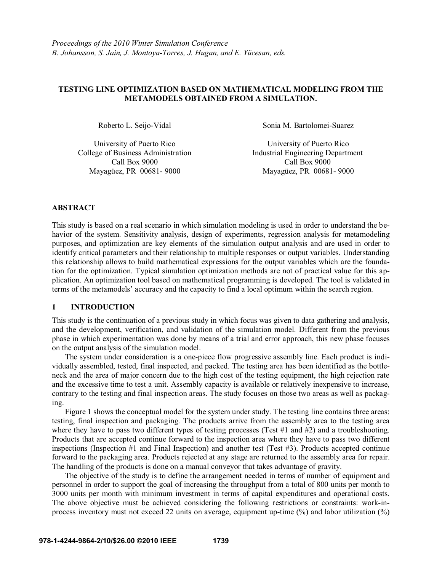# **TESTING LINE OPTIMIZATION BASED ON MATHEMATICAL MODELING FROM THE METAMODELS OBTAINED FROM A SIMULATION.**

College of Business Administration Call Box 9000 Mayagüez, PR 00681- 9000 Mayagüez, PR 00681- 9000

Roberto L. Seijo-Vidal Sonia M. Bartolomei-Suarez

University of Puerto Rico University of Puerto Rico Industrial Engineering Department Call Box 9000

## **ABSTRACT**

This study is based on a real scenario in which simulation modeling is used in order to understand the behavior of the system. Sensitivity analysis, design of experiments, regression analysis for metamodeling purposes, and optimization are key elements of the simulation output analysis and are used in order to identify critical parameters and their relationship to multiple responses or output variables. Understanding this relationship allows to build mathematical expressions for the output variables which are the foundation for the optimization. Typical simulation optimization methods are not of practical value for this application. An optimization tool based on mathematical programming is developed. The tool is validated in terms of the metamodels' accuracy and the capacity to find a local optimum within the search region.

# **1 INTRODUCTION**

This study is the continuation of a previous study in which focus was given to data gathering and analysis, and the development, verification, and validation of the simulation model. Different from the previous phase in which experimentation was done by means of a trial and error approach, this new phase focuses on the output analysis of the simulation model.

The system under consideration is a one-piece flow progressive assembly line. Each product is individually assembled, tested, final inspected, and packed. The testing area has been identified as the bottleneck and the area of major concern due to the high cost of the testing equipment, the high rejection rate and the excessive time to test a unit. Assembly capacity is available or relatively inexpensive to increase, contrary to the testing and final inspection areas. The study focuses on those two areas as well as packaging.

Figure 1 shows the conceptual model for the system under study. The testing line contains three areas: testing, final inspection and packaging. The products arrive from the assembly area to the testing area where they have to pass two different types of testing processes (Test #1 and #2) and a troubleshooting. Products that are accepted continue forward to the inspection area where they have to pass two different inspections (Inspection #1 and Final Inspection) and another test (Test #3). Products accepted continue forward to the packaging area. Products rejected at any stage are returned to the assembly area for repair. The handling of the products is done on a manual conveyor that takes advantage of gravity.

The objective of the study is to define the arrangement needed in terms of number of equipment and personnel in order to support the goal of increasing the throughput from a total of 800 units per month to 3000 units per month with minimum investment in terms of capital expenditures and operational costs. The above objective must be achieved considering the following restrictions or constraints: work-inprocess inventory must not exceed 22 units on average, equipment up-time (%) and labor utilization (%)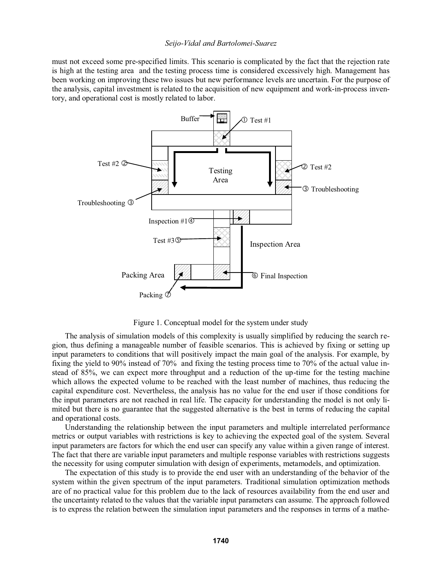must not exceed some pre-specified limits. This scenario is complicated by the fact that the rejection rate is high at the testing area and the testing process time is considered excessively high. Management has been working on improving these two issues but new performance levels are uncertain. For the purpose of the analysis, capital investment is related to the acquisition of new equipment and work-in-process inventory, and operational cost is mostly related to labor.



Figure 1. Conceptual model for the system under study

The analysis of simulation models of this complexity is usually simplified by reducing the search region, thus defining a manageable number of feasible scenarios. This is achieved by fixing or setting up input parameters to conditions that will positively impact the main goal of the analysis. For example, by fixing the yield to 90% instead of 70% and fixing the testing process time to 70% of the actual value instead of 85%, we can expect more throughput and a reduction of the up-time for the testing machine which allows the expected volume to be reached with the least number of machines, thus reducing the capital expenditure cost. Nevertheless, the analysis has no value for the end user if those conditions for the input parameters are not reached in real life. The capacity for understanding the model is not only limited but there is no guarantee that the suggested alternative is the best in terms of reducing the capital and operational costs.

Understanding the relationship between the input parameters and multiple interrelated performance metrics or output variables with restrictions is key to achieving the expected goal of the system. Several input parameters are factors for which the end user can specify any value within a given range of interest. The fact that there are variable input parameters and multiple response variables with restrictions suggests the necessity for using computer simulation with design of experiments, metamodels, and optimization.

The expectation of this study is to provide the end user with an understanding of the behavior of the system within the given spectrum of the input parameters. Traditional simulation optimization methods are of no practical value for this problem due to the lack of resources availability from the end user and the uncertainty related to the values that the variable input parameters can assume. The approach followed is to express the relation between the simulation input parameters and the responses in terms of a mathe-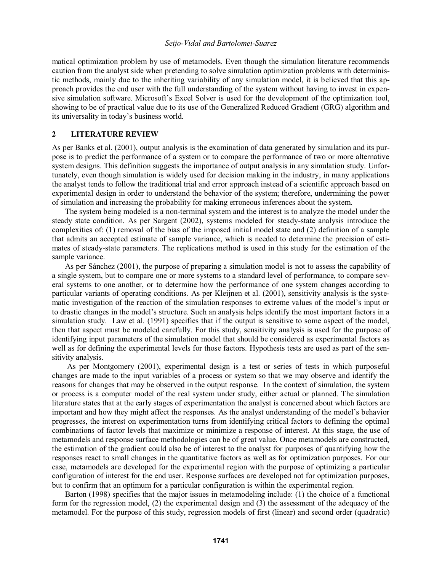matical optimization problem by use of metamodels. Even though the simulation literature recommends caution from the analyst side when pretending to solve simulation optimization problems with deterministic methods, mainly due to the inheriting variability of any simulation model, it is believed that this approach provides the end user with the full understanding of the system without having to invest in expen sive simulation software. Microsoft's Excel Solver is used for the development of the optimization tool, showing to be of practical value due to its use of the Generalized Reduced Gradient (GRG) algorithm and its universality in today's business world.

## **2 LITERATURE REVIEW**

As per Banks et al. (2001), output analysis is the examination of data generated by simulation and its purpose is to predict the performance of a system or to compare the performance of two or more alternative system designs. This definition suggests the importance of output analysis in any simulation study. Unfortunately, even though simulation is widely used for decision making in the industry, in many applications the analyst tends to follow the traditional trial and error approach instead of a scientific approach based on experimental design in order to understand the behavior of the system; therefore, undermining the power of simulation and increasing the probability for making erroneous inferences about the system.

The system being modeled is a non-terminal system and the interest is to analyze the model under the steady state condition. As per Sargent (2002), systems modeled for steady-state analysis introduce the complexities of: (1) removal of the bias of the imposed initial model state and (2) definition of a sample that admits an accepted estimate of sample variance, which is needed to determine the precision of estimates of steady-state parameters. The replications method is used in this study for the estimation of the sample variance.

As per Sánchez (2001), the purpose of preparing a simulation model is not to assess the capability of a single system, but to compare one or more systems to a standard level of performance, to compare several systems to one another, or to determine how the performance of one system changes according to particular variants of operating conditions. As per Kleijnen et al. (2001), sensitivity analysis is the syste matic investigation of the reaction of the simulation responses to extreme values of the model's input or to drastic changes in the model's structure. Such an analysis helps identify the most important factors in a simulation study. Law et al. (1991) specifies that if the output is sensitive to some aspect of the model, then that aspect must be modeled carefully. For this study, sensitivity analysis is used for the purpose of identifying input parameters of the simulation model that should be considered as experimental factors as well as for defining the experimental levels for those factors. Hypothesis tests are used as part of the sensitivity analysis.

 As per Montgomery (2001), experimental design is a test or series of tests in which purposeful changes are made to the input variables of a process or system so that we may observe and identify the reasons for changes that may be observed in the output response. In the context of simulation, the system or process is a computer model of the real system under study, either actual or planned. The simulation literature states that at the early stages of experimentation the analyst is concerned about which factors are important and how they might affect the responses. As the analyst understanding of the model's behavior progresses, the interest on experimentation turns from identifying critical factors to defining the optimal combinations of factor levels that maximize or minimize a response of interest. At this stage, the use of metamodels and response surface methodologies can be of great value. Once metamodels are constructed, the estimation of the gradient could also be of interest to the analyst for purposes of quantifying how the responses react to small changes in the quantitative factors as well as for optimization purposes. For our case, metamodels are developed for the experimental region with the purpose of optimizing a particular configuration of interest for the end user. Response surfaces are developed not for optimization purposes, but to confirm that an optimum for a particular configuration is within the experimental region.

Barton (1998) specifies that the major issues in metamodeling include: (1) the choice of a functional form for the regression model, (2) the experimental design and (3) the assessment of the adequacy of the metamodel. For the purpose of this study, regression models of first (linear) and second order (quadratic)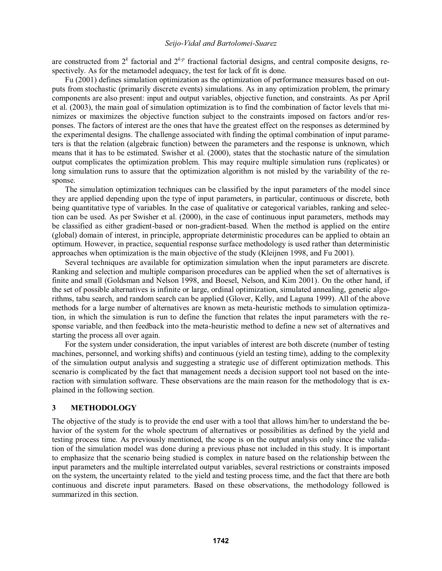are constructed from  $2^k$  factorial and  $2^{k-p}$  fractional factorial designs, and central composite designs, respectively. As for the metamodel adequacy, the test for lack of fit is done.

Fu (2001) defines simulation optimization as the optimization of performance measures based on outputs from stochastic (primarily discrete events) simulations. As in any optimization problem, the primary components are also present: input and output variables, objective function, and constraints. As per April et al. (2003), the main goal of simulation optimization is to find the combination of factor levels that minimizes or maximizes the objective function subject to the constraints imposed on factors and/or responses. The factors of interest are the ones that have the greatest effect on the responses as determined by the experimental designs. The challenge associated with finding the optimal combination of input parameters is that the relation (algebraic function) between the parameters and the response is unknown, which means that it has to be estimated. Swisher et al. (2000), states that the stochastic nature of the simulation output complicates the optimization problem. This may require multiple simulation runs (replicates) or long simulation runs to assure that the optimization algorithm is not misled by the variability of the response.

The simulation optimization techniques can be classified by the input parameters of the model since they are applied depending upon the type of input parameters, in particular, continuous or discrete, both being quantitative type of variables. In the case of qualitative or categorical variables, ranking and selection can be used. As per Swisher et al. (2000), in the case of continuous input parameters, methods may be classified as either gradient-based or non-gradient-based. When the method is applied on the entire (global) domain of interest, in principle, appropriate deterministic procedures can be applied to obtain an optimum. However, in practice, sequential response surface methodology is used rather than deterministic approaches when optimization is the main objective of the study (Kleijnen 1998, and Fu 2001).

Several techniques are available for optimization simulation when the input parameters are discrete. Ranking and selection and multiple comparison procedures can be applied when the set of alternatives is finite and small (Goldsman and Nelson 1998, and Boesel, Nelson, and Kim 2001). On the other hand, if the set of possible alternatives is infinite or large, ordinal optimization, simulated annealing, genetic algorithms, tabu search, and random search can be applied (Glover, Kelly, and Laguna 1999). All of the above methods for a large number of alternatives are known as meta-heuristic methods to simulation optimization, in which the simulation is run to define the function that relates the input parameters with the response variable, and then feedback into the meta-heuristic method to define a new set of alternatives and starting the process all over again.

For the system under consideration, the input variables of interest are both discrete (number of testing machines, personnel, and working shifts) and continuous (yield an testing time), adding to the complexity of the simulation output analysis and suggesting a strategic use of different optimization methods. This scenario is complicated by the fact that management needs a decision support tool not based on the interaction with simulation software. These observations are the main reason for the methodology that is explained in the following section.

#### **3 METHODOLOGY**

The objective of the study is to provide the end user with a tool that allows him/her to understand the behavior of the system for the whole spectrum of alternatives or possibilities as defined by the yield and testing process time. As previously mentioned, the scope is on the output analysis only since the validation of the simulation model was done during a previous phase not included in this study. It is important to emphasize that the scenario being studied is complex in nature based on the relationship between the input parameters and the multiple interrelated output variables, several restrictions or constraints imposed on the system, the uncertainty related to the yield and testing process time, and the fact that there are both continuous and discrete input parameters. Based on these observations, the methodology followed is summarized in this section.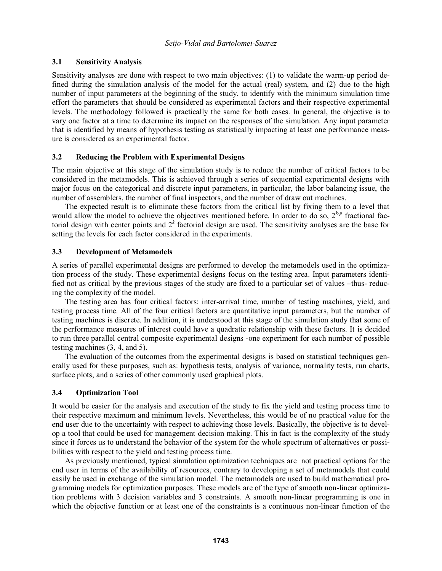# **3.1 Sensitivity Analysis**

Sensitivity analyses are done with respect to two main objectives: (1) to validate the warm-up period defined during the simulation analysis of the model for the actual (real) system, and (2) due to the high number of input parameters at the beginning of the study, to identify with the minimum simulation time effort the parameters that should be considered as experimental factors and their respective experimental levels. The methodology followed is practically the same for both cases. In general, the objective is to vary one factor at a time to determine its impact on the responses of the simulation. Any input parameter that is identified by means of hypothesis testing as statistically impacting at least one performance measure is considered as an experimental factor.

# **3.2 Reducing the Problem with Experimental Designs**

The main objective at this stage of the simulation study is to reduce the number of critical factors to be considered in the metamodels. This is achieved through a series of sequential experimental designs with major focus on the categorical and discrete input parameters, in particular, the labor balancing issue, the number of assemblers, the number of final inspectors, and the number of draw out machines.

The expected result is to eliminate these factors from the critical list by fixing them to a level that would allow the model to achieve the objectives mentioned before. In order to do so, 2*k-p* fractional factorial design with center points and 2*<sup>k</sup>* factorial design are used. The sensitivity analyses are the base for setting the levels for each factor considered in the experiments.

# **3.3 Development of Metamodels**

A series of parallel experimental designs are performed to develop the metamodels used in the optimization process of the study. These experimental designs focus on the testing area. Input parameters identified not as critical by the previous stages of the study are fixed to a particular set of values -thus- reducing the complexity of the model.

The testing area has four critical factors: inter-arrival time, number of testing machines, yield, and testing process time. All of the four critical factors are quantitative input parameters, but the number of testing machines is discrete. In addition, it is understood at this stage of the simulation study that some of the performance measures of interest could have a quadratic relationship with these factors. It is decided to run three parallel central composite experimental designs -one experiment for each number of possible testing machines (3, 4, and 5).

The evaluation of the outcomes from the experimental designs is based on statistical techniques generally used for these purposes, such as: hypothesis tests, analysis of variance, normality tests, run charts, surface plots, and a series of other commonly used graphical plots.

# **3.4 Optimization Tool**

It would be easier for the analysis and execution of the study to fix the yield and testing process time to their respective maximum and minimum levels. Nevertheless, this would be of no practical value for the end user due to the uncertainty with respect to achieving those levels. Basically, the objective is to develop a tool that could be used for management decision making. This in fact is the complexity of the study since it forces us to understand the behavior of the system for the whole spectrum of alternatives or possibilities with respect to the yield and testing process time.

As previously mentioned, typical simulation optimization techniques are not practical options for the end user in terms of the availability of resources, contrary to developing a set of metamodels that could easily be used in exchange of the simulation model. The metamodels are used to build mathematical programming models for optimization purposes. These models are of the type of smooth non-linear optimization problems with 3 decision variables and 3 constraints. A smooth non-linear programming is one in which the objective function or at least one of the constraints is a continuous non-linear function of the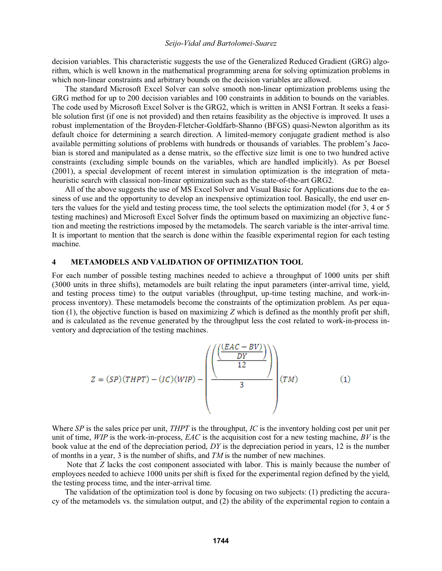decision variables. This characteristic suggests the use of the Generalized Reduced Gradient (GRG) algorithm, which is well known in the mathematical programming arena for solving optimization problems in which non-linear constraints and arbitrary bounds on the decision variables are allowed.

The standard Microsoft Excel Solver can solve smooth non-linear optimization problems using the GRG method for up to 200 decision variables and 100 constraints in addition to bounds on the variables. The code used by Microsoft Excel Solver is the GRG2, which is written in ANSI Fortran. It seeks a feasible solution first (if one is not provided) and then retains feasibility as the objective is improved. It uses a robust implementation of the Broyden-Fletcher-Goldfarb-Shanno (BFGS) quasi-Newton algorithm as its default choice for determining a search direction. A limited-memory conjugate gradient method is also available permitting solutions of problems with hundreds or thousands of variables. The problem's Jacobian is stored and manipulated as a dense matrix, so the effective size limit is one to two hundred active constraints (excluding simple bounds on the variables, which are handled implicitly). As per Boesel (2001), a special development of recent interest in simulation optimization is the integration of metaheuristic search with classical non-linear optimization such as the state-of-the-art GRG2.

All of the above suggests the use of MS Excel Solver and Visual Basic for Applications due to the easiness of use and the opportunity to develop an inexpensive optimization tool. Basically, the end user enters the values for the yield and testing process time, the tool selects the optimization model (for 3, 4 or 5 testing machines) and Microsoft Excel Solver finds the optimum based on maximizing an objective function and meeting the restrictions imposed by the metamodels. The search variable is the inter-arrival time. It is important to mention that the search is done within the feasible experimental region for each testing machine.

## **4 METAMODELS AND VALIDATION OF OPTIMIZATION TOOL**

For each number of possible testing machines needed to achieve a throughput of 1000 units per shift (3000 units in three shifts), metamodels are built relating the input parameters (inter-arrival time, yield, and testing process time) to the output variables (throughput, up-time testing machine, and work-inprocess inventory). These metamodels become the constraints of the optimization problem. As per equation (1), the objective function is based on maximizing *Z* which is defined as the monthly profit per shift, and is calculated as the revenue generated by the throughput less the cost related to work-in-process inventory and depreciation of the testing machines.

$$
Z = (SP)(THPT) - (IC)(WIP) - \left(\frac{\left(\frac{(EAC - BV)}{DY}\right)}{3}\right)(TM) \tag{1}
$$

Where *SP* is the sales price per unit, *THPT* is the throughput, *IC* is the inventory holding cost per unit per unit of time, *WIP* is the work-in-process, *EAC* is the acquisition cost for a new testing machine, *BV* is the book value at the end of the depreciation period, *DY* is the depreciation period in years, 12 is the number of months in a year, 3 is the number of shifts, and *TM* is the number of new machines.

 Note that *Z* lacks the cost component associated with labor. This is mainly because the number of employees needed to achieve 1000 units per shift is fixed for the experimental region defined by the yield, the testing process time, and the inter-arrival time.

The validation of the optimization tool is done by focusing on two subjects: (1) predicting the accuracy of the metamodels vs. the simulation output, and (2) the ability of the experimental region to contain a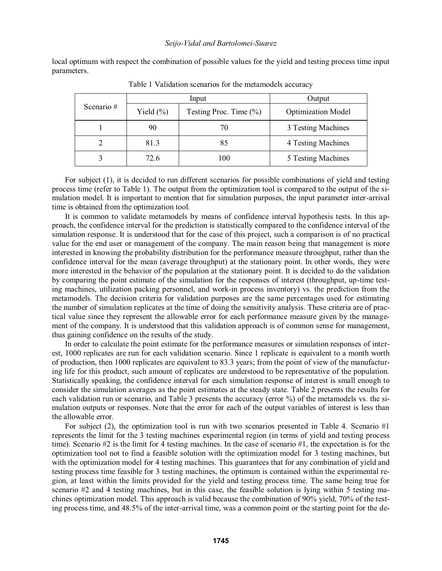local optimum with respect the combination of possible values for the yield and testing process time input parameters.

|           |               | Input                      | Output                    |  |
|-----------|---------------|----------------------------|---------------------------|--|
| Scenario# | Yield $(\% )$ | Testing Proc. Time $(\% )$ | <b>Optimization Model</b> |  |
|           | 90            | 70                         | 3 Testing Machines        |  |
|           | 81.3          | 85                         | 4 Testing Machines        |  |
|           | 72.6          | 100                        | 5 Testing Machines        |  |

Table 1 Validation scenarios for the metamodels accuracy

For subject (1), it is decided to run different scenarios for possible combinations of yield and testing process time (refer to Table 1). The output from the optimization tool is compared to the output of the simulation model. It is important to mention that for simulation purposes, the input parameter inter-arrival time is obtained from the optimization tool.

It is common to validate metamodels by means of confidence interval hypothesis tests. In this approach, the confidence interval for the prediction is statistically compared to the confidence interval of the simulation response. It is understood that for the case of this project, such a comparison is of no practical value for the end user or management of the company. The main reason being that management is more interested in knowing the probability distribution for the performance measure throughput, rather than the confidence interval for the mean (average throughput) at the stationary point. In other words, they were more interested in the behavior of the population at the stationary point. It is decided to do the validation by comparing the point estimate of the simulation for the responses of interest (throughput, up-time testing machines, utilization packing personnel, and work-in process inventory) vs. the prediction from the metamodels. The decision criteria for validation purposes are the same percentages used for estimating the number of simulation replicates at the time of doing the sensitivity analysis. These criteria are of practical value since they represent the allowable error for each performance measure given by the management of the company. It is understood that this validation approach is of common sense for management, thus gaining confidence on the results of the study.

In order to calculate the point estimate for the performance measures or simulation responses of interest, 1000 replicates are run for each validation scenario. Since 1 replicate is equivalent to a month worth of production, then 1000 replicates are equivalent to 83.3 years; from the point of view of the manufacturing life for this product, such amount of replicates are understood to be representative of the population. Statistically speaking, the confidence interval for each simulation response of interest is small enough to consider the simulation averages as the point estimates at the steady state. Table 2 presents the results for each validation run or scenario, and Table 3 presents the accuracy (error %) of the metamodels vs. the simulation outputs or responses. Note that the error for each of the output variables of interest is less than the allowable error.

For subject (2), the optimization tool is run with two scenarios presented in Table 4. Scenario  $#1$ represents the limit for the 3 testing machines experimental region (in terms of yield and testing process time). Scenario #2 is the limit for 4 testing machines. In the case of scenario #1, the expectation is for the optimization tool not to find a feasible solution with the optimization model for 3 testing machines, but with the optimization model for 4 testing machines. This guarantees that for any combination of yield and testing process time feasible for 3 testing machines, the optimum is contained within the experimental region, at least within the limits provided for the yield and testing process time. The same being true for scenario #2 and 4 testing machines, but in this case, the feasible solution is lying within 5 testing machines optimization model. This approach is valid because the combination of 90% yield, 70% of the testing process time, and 48.5% of the inter-arrival time, was a common point or the starting point for the de-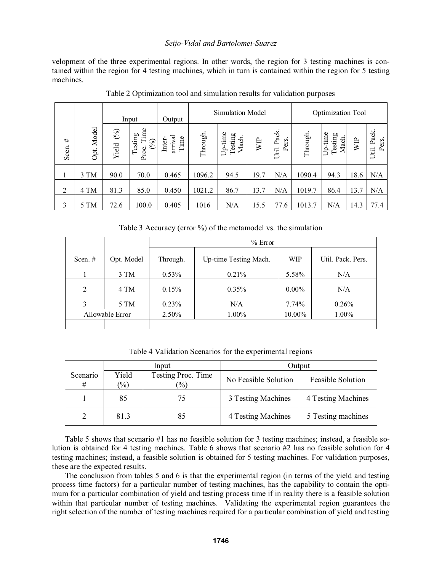velopment of the three experimental regions. In other words, the region for 3 testing machines is contained within the region for 4 testing machines, which in turn is contained within the region for 5 testing machines.

|            |               | Input           |                                                       | Output                    | Simulation Model |                             |                        | Optimization Tool       |          |                             |      |                         |
|------------|---------------|-----------------|-------------------------------------------------------|---------------------------|------------------|-----------------------------|------------------------|-------------------------|----------|-----------------------------|------|-------------------------|
| #<br>Scen. | Model<br>Opt. | $(\%)$<br>Yield | $\mathbf{m}$ e<br>Testing<br>$\mathcal{S}_0$<br>Proc. | arrival<br>Time<br>Inter- | Through.         | Up-time<br>Testing<br>Mach. | $\mathbb{W}\mathbb{P}$ | Pack.<br>Pers.<br>Util. | Through. | Up-time<br>Testing<br>Mach. | WIP  | Pack.<br>Pers.<br>Util. |
| Ŧ.         | 3 TM          | 90.0            | 70.0                                                  | 0.465                     | 1096.2           | 94.5                        | 19.7                   | N/A                     | 1090.4   | 94.3                        | 18.6 | N/A                     |
| 2          | 4 TM          | 81.3            | 85.0                                                  | 0.450                     | 1021.2           | 86.7                        | 13.7                   | N/A                     | 1019.7   | 86.4                        | 13.7 | N/A                     |
| 3          | 5 TM          | 72.6            | 100.0                                                 | 0.405                     | 1016             | N/A                         | 15.5                   | 77.6                    | 1013.7   | N/A                         | 14.3 | 77.4                    |

Table 2 Optimization tool and simulation results for validation purposes

Table 3 Accuracy (error %) of the metamodel vs. the simulation

|                 |            | $%$ Error |                       |          |                   |  |
|-----------------|------------|-----------|-----------------------|----------|-------------------|--|
| Scen. $#$       | Opt. Model | Through.  | Up-time Testing Mach. | WIP      | Util. Pack. Pers. |  |
|                 | 3 TM       | $0.53\%$  | 0.21%                 | 5.58%    | N/A               |  |
| $\overline{2}$  | 4 TM       | 0.15%     | $0.35\%$              | $0.00\%$ | N/A               |  |
| 3               | 5 TM       | $0.23\%$  | N/A                   | $7.74\%$ | 0.26%             |  |
| Allowable Error |            | 2.50%     | 1.00%                 | 10.00%   | 1.00%             |  |
|                 |            |           |                       |          |                   |  |

Table 4 Validation Scenarios for the experimental regions

|               |                        | Input                                   | Output               |                          |  |
|---------------|------------------------|-----------------------------------------|----------------------|--------------------------|--|
| Scenario<br># | Yield<br>$\frac{1}{2}$ | Testing Proc. Time<br>$\left(\%\right)$ | No Feasible Solution | <b>Feasible Solution</b> |  |
|               | 85                     | 75                                      | 3 Testing Machines   | 4 Testing Machines       |  |
| 2             | 81.3                   | 85                                      | 4 Testing Machines   | 5 Testing machines       |  |

Table 5 shows that scenario #1 has no feasible solution for 3 testing machines; instead, a feasible solution is obtained for 4 testing machines. Table 6 shows that scenario #2 has no feasible solution for 4 testing machines; instead, a feasible solution is obtained for 5 testing machines. For validation purposes, these are the expected results.

The conclusion from tables 5 and 6 is that the experimental region (in terms of the yield and testing process time factors) for a particular number of testing machines, has the capability to contain the optimum for a particular combination of yield and testing process time if in reality there is a feasible solution within that particular number of testing machines. Validating the experimental region guarantees the right selection of the number of testing machines required for a particular combination of yield and testing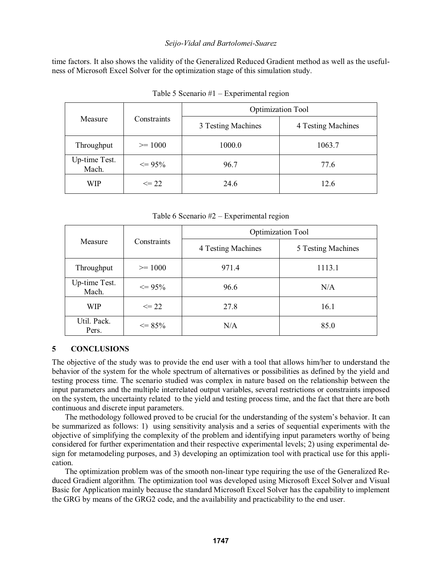time factors. It also shows the validity of the Generalized Reduced Gradient method as well as the usefulness of Microsoft Excel Solver for the optimization stage of this simulation study.

| Measure                | Constraints | Optimization Tool  |                    |  |
|------------------------|-------------|--------------------|--------------------|--|
|                        |             | 3 Testing Machines | 4 Testing Machines |  |
| Throughput             | $>= 1000$   | 1000.0             | 1063.7             |  |
| Up-time Test.<br>Mach. | $\leq$ 9.5% | 96.7               | 77.6               |  |
| WIP                    | $\leq$ 22   | 24.6               | 12.6               |  |

Table 5 Scenario  $#1 - Experimental region$ 

Table 6 Scenario  $#2$  – Experimental region

| Measure                | Constraints | Optimization Tool  |                    |  |
|------------------------|-------------|--------------------|--------------------|--|
|                        |             | 4 Testing Machines | 5 Testing Machines |  |
| Throughput             | $>= 1000$   | 971.4              | 1113.1             |  |
| Up-time Test.<br>Mach. | $\leq$ 95%  | 96.6               | N/A                |  |
| <b>WIP</b>             | $\leq$ 22   | 27.8               | 16.1               |  |
| Util. Pack.<br>Pers.   | $\leq$ 85%  | N/A                | 85.0               |  |

# **5 CONCLUSIONS**

The objective of the study was to provide the end user with a tool that allows him/her to understand the behavior of the system for the whole spectrum of alternatives or possibilities as defined by the yield and testing process time. The scenario studied was complex in nature based on the relationship between the input parameters and the multiple interrelated output variables, several restrictions or constraints imposed on the system, the uncertainty related to the yield and testing process time, and the fact that there are both continuous and discrete input parameters.

The methodology followed proved to be crucial for the understanding of the system's behavior. It can be summarized as follows: 1) using sensitivity analysis and a series of sequential experiments with the objective of simplifying the complexity of the problem and identifying input parameters worthy of being considered for further experimentation and their respective experimental levels; 2) using experimental design for metamodeling purposes, and 3) developing an optimization tool with practical use for this application.

The optimization problem was of the smooth non-linear type requiring the use of the Generalized Reduced Gradient algorithm. The optimization tool was developed using Microsoft Excel Solver and Visual Basic for Application mainly because the standard Microsoft Excel Solver has the capability to implement the GRG by means of the GRG2 code, and the availability and practicability to the end user.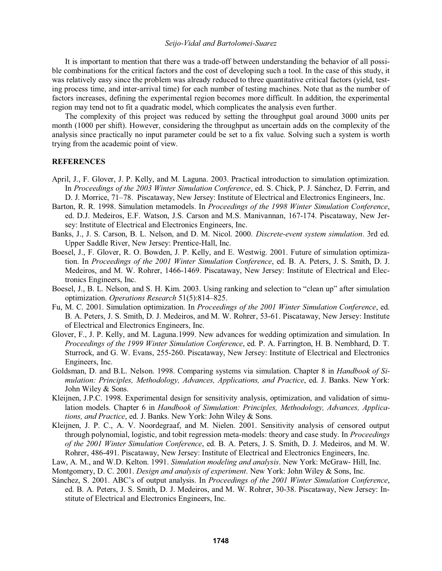It is important to mention that there was a trade-off between understanding the behavior of all possible combinations for the critical factors and the cost of developing such a tool. In the case of this study, it was relatively easy since the problem was already reduced to three quantitative critical factors (yield, testing process time, and inter-arrival time) for each number of testing machines. Note that as the number of factors increases, defining the experimental region becomes more difficult. In addition, the experimental region may tend not to fit a quadratic model, which complicates the analysis even further.

The complexity of this project was reduced by setting the throughput goal around 3000 units per month (1000 per shift). However, considering the throughput as uncertain adds on the complexity of the analysis since practically no input parameter could be set to a fix value. Solving such a system is worth trying from the academic point of view.

#### **REFERENCES**

- April, J., F. Glover, J. P. Kelly, and M. Laguna. 2003. Practical introduction to simulation optimization. In *Proceedings of the 2003 Winter Simulation Conference*, ed. S. Chick, P. J. Sánchez, D. Ferrin, and D. J. Morrice, 71–78. Piscataway, New Jersey: Institute of Electrical and Electronics Engineers, Inc.
- Barton, R. R. 1998. Simulation metamodels. In *Proceedings of the 1998 Winter Simulation Conference*, ed. D.J. Medeiros, E.F. Watson, J.S. Carson and M.S. Manivannan, 167-174. Piscataway, New Jersey: Institute of Electrical and Electronics Engineers, Inc.
- Banks, J., J. S. Carson, B. L. Nelson, and D. M. Nicol. 2000. *Discrete-event system simulation*. 3rd ed. Upper Saddle River, New Jersey: Prentice-Hall, Inc.
- Boesel, J., F. Glover, R. O. Bowden, J. P. Kelly, and E. Westwig. 2001. Future of simulation optimization. In *Proceedings of the 2001 Winter Simulation Conference*, ed. B. A. Peters, J. S. Smith, D. J. Medeiros, and M. W. Rohrer, 1466-1469. Piscataway, New Jersey: Institute of Electrical and Electronics Engineers, Inc.
- Boesel, J., B. L. Nelson, and S. H. Kim. 2003. Using ranking and selection to "clean up" after simulation optimization. *Operations Research* 51(5):814-825.
- Fu, M. C. 2001. Simulation optimization. In *Proceedings of the 2001 Winter Simulation Conference*, ed. B. A. Peters, J. S. Smith, D. J. Medeiros, and M. W. Rohrer, 53-61. Piscataway, New Jersey: Institute of Electrical and Electronics Engineers, Inc.
- Glover, F., J. P. Kelly, and M. Laguna.1999. New advances for wedding optimization and simulation. In *Proceedings of the 1999 Winter Simulation Conference*, ed. P. A. Farrington, H. B. Nembhard, D. T. Sturrock, and G. W. Evans, 255-260. Piscataway, New Jersey: Institute of Electrical and Electronics Engineers, Inc.
- Goldsman, D. and B.L. Nelson. 1998. Comparing systems via simulation. Chapter 8 in *Handbook of Simulation: Principles, Methodology, Advances, Applications, and Practice*, ed. J. Banks. New York: John Wiley & Sons.
- Kleijnen, J.P.C. 1998. Experimental design for sensitivity analysis, optimization, and validation of simulation models. Chapter 6 in *Handbook of Simulation: Principles, Methodology, Advances, Applications, and Practice*, ed. J. Banks. New York: John Wiley & Sons.
- Kleijnen, J. P. C., A. V. Noordegraaf, and M. Nielen. 2001. Sensitivity analysis of censored output through polynomial, logistic, and tobit regression meta-models: theory and case study. In *Proceedings of the 2001 Winter Simulation Conference*, ed. B. A. Peters, J. S. Smith, D. J. Medeiros, and M. W. Rohrer, 486-491. Piscataway, New Jersey: Institute of Electrical and Electronics Engineers, Inc.
- Law, A. M., and W.D. Kelton. 1991. *Simulation modeling and analysis*. New York: McGraw- Hill, Inc.
- Montgomery, D. C. 2001. *Design and analysis of experiment*. New York: John Wiley & Sons, Inc.
- Sánchez, S. 2001. ABC's of output analysis. In *Proceedings of the 2001 Winter Simulation Conference*, ed. B. A. Peters, J. S. Smith, D. J. Medeiros, and M. W. Rohrer, 30-38. Piscataway, New Jersey: Institute of Electrical and Electronics Engineers, Inc.